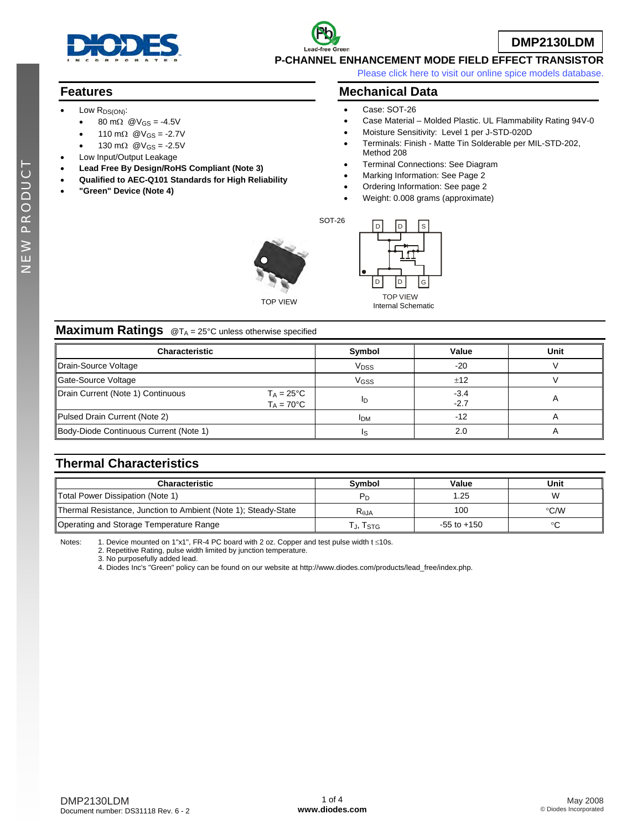

# **DMP2130LDM**

**P-CHANNEL ENHANCEMENT MODE FIELD EFFECT TRANSISTOR** 

[Please click here to visit our online spice models database.](http://www.diodes.com/products/spicemodels/index.php)

## **Features**

- Low R<sub>DS(ON)</sub>:
	- 80 mΩ  $\textcircled{a}V_{GS} = -4.5V$
	- 110 mΩ  $\textcircled{W}_{GS}$  = -2.7V
	- 130 mΩ  $@V_{GS} = -2.5V$
- Low Input/Output Leakage
- **Lead Free By Design/RoHS Compliant (Note 3)**
- **Qualified to AEC-Q101 Standards for High Reliability**
- **"Green" Device (Note 4)**

### **Mechanical Data**

- Case: SOT-26
- Case Material Molded Plastic. UL Flammability Rating 94V-0
- Moisture Sensitivity: Level 1 per J-STD-020D
- Terminals: Finish Matte Tin Solderable per MIL-STD-202, Method 208
- Terminal Connections: See Diagram
- Marking Information: See Page 2
- Ordering Information: See page 2
- Weight: 0.008 grams (approximate)

SOT-26





TOP VIEW Internal Schematic

#### **Maximum Ratings** @T<sub>A</sub> = 25°C unless otherwise specified

| Characteristic                                                                  | Symbol                 | Value          | Unit |
|---------------------------------------------------------------------------------|------------------------|----------------|------|
| Drain-Source Voltage                                                            | <b>V<sub>DSS</sub></b> | $-20$          |      |
| Gate-Source Voltage                                                             | <b>V<sub>GSS</sub></b> | ±12            |      |
| Drain Current (Note 1) Continuous<br>$T_A = 25^{\circ}C$<br>$T_A = 70^{\circ}C$ | חו                     | -3.4<br>$-2.7$ |      |
| Pulsed Drain Current (Note 2)                                                   | <b>IDM</b>             | $-12$          |      |
| Body-Diode Continuous Current (Note 1)                                          |                        | 2.0            | n    |

## **Thermal Characteristics**

| <b>Characteristic</b>                                          | Svmbol         | Value           | Unit |
|----------------------------------------------------------------|----------------|-----------------|------|
| Total Power Dissipation (Note 1)                               | $P_D$          | .25             | W    |
| Thermal Resistance, Junction to Ambient (Note 1); Steady-State | $R_{\theta$ JA | 100             | ℃⁄W  |
| Operating and Storage Temperature Range                        | J, ISTG        | $-55$ to $+150$ | ൦൳   |

Notes: 1. Device mounted on 1"x1", FR-4 PC board with 2 oz. Copper and test pulse width t ≤10s.

2. Repetitive Rating, pulse width limited by junction temperature.

3. No purposefully added lead.

4. Diodes Inc's "Green" policy can be found on our website at http://www.diodes.com/products/lead\_free/index.php.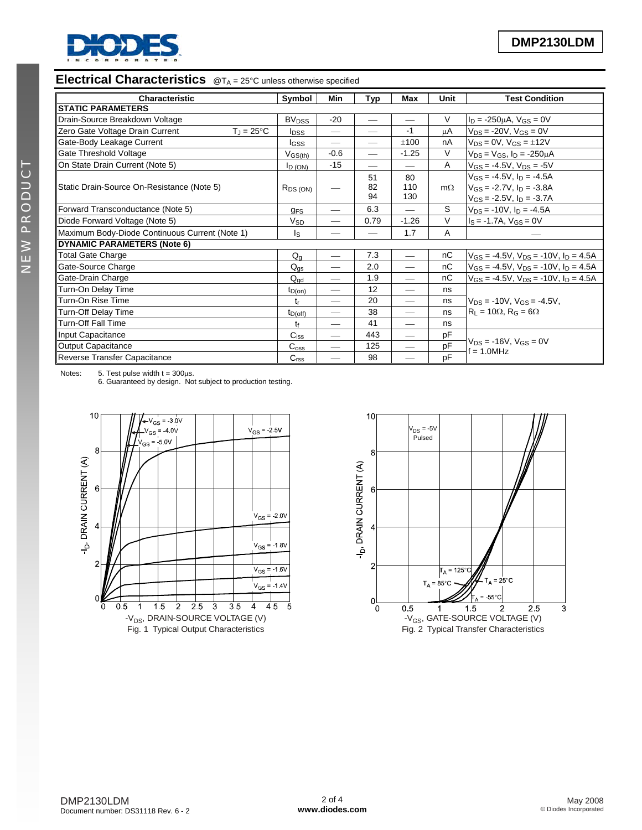

# **Electrical Characteristics** @T<sub>A</sub> = 25°C unless otherwise specified

| <b>Characteristic</b>                                  | Symbol                  | Min                      | Typ                      | <b>Max</b>               | <b>Unit</b>    | <b>Test Condition</b>                             |
|--------------------------------------------------------|-------------------------|--------------------------|--------------------------|--------------------------|----------------|---------------------------------------------------|
| <b>STATIC PARAMETERS</b>                               |                         |                          |                          |                          |                |                                                   |
| Drain-Source Breakdown Voltage                         | <b>BV<sub>DSS</sub></b> | $-20$                    |                          |                          | $\vee$         | $I_D = -250 \mu A$ , $V_{GS} = 0V$                |
| Zero Gate Voltage Drain Current<br>$T_J = 25^{\circ}C$ | <b>I</b> <sub>DSS</sub> | $\overline{\phantom{0}}$ |                          | $-1$                     | μA             | $V_{DS} = -20V$ , $V_{GS} = 0V$                   |
| Gate-Body Leakage Current                              | l <sub>GSS</sub>        |                          | $\overline{\phantom{0}}$ | ±100                     | nA             | $V_{DS} = 0V$ , $V_{GS} = \pm 12V$                |
| Gate Threshold Voltage                                 | $V_{GS(th)}$            | $-0.6$                   |                          | $-1.25$                  | $\vee$         | $V_{DS} = V_{GS}$ , $I_D = -250 \mu A$            |
| On State Drain Current (Note 5)                        | $I_D (ON)$              | $-15$                    |                          |                          | $\overline{A}$ | $V_{GS} = -4.5V$ , $V_{DS} = -5V$                 |
|                                                        |                         |                          | 51                       | 80                       |                | $V_{GS} = -4.5V$ , $I_D = -4.5A$                  |
| Static Drain-Source On-Resistance (Note 5)             | $R_{DS(ON)}$            |                          | 82<br>94                 | 110<br>130               | $m\Omega$      | $V_{GS} = -2.7V$ , $I_D = -3.8A$                  |
|                                                        |                         |                          |                          |                          |                | $V_{GS} = -2.5V$ , $I_D = -3.7A$                  |
| Forward Transconductance (Note 5)                      | <b>g<sub>FS</sub></b>   | $\overline{\phantom{0}}$ | 6.3                      | $\overline{\phantom{0}}$ | S              | $V_{DS}$ = -10V, $I_D$ = -4.5A                    |
| Diode Forward Voltage (Note 5)                         |                         |                          | 0.79                     | $-1.26$                  | V              | $I_S = -1.7A$ , $V_{GS} = 0V$                     |
| Maximum Body-Diode Continuous Current (Note 1)         |                         |                          |                          | 1.7                      | A              |                                                   |
| <b>DYNAMIC PARAMETERS (Note 6)</b>                     |                         |                          |                          |                          |                |                                                   |
| <b>Total Gate Charge</b>                               | $Q_q$                   | $\qquad \qquad$          | 7.3                      |                          | nC             | $V_{GS} = -4.5V$ , $V_{DS} = -10V$ , $I_D = 4.5A$ |
| Gate-Source Charge                                     | $Q_{qs}$                | $\overline{\phantom{0}}$ | 2.0                      |                          | nC             | $V_{GS} = -4.5V$ , $V_{DS} = -10V$ , $I_D = 4.5A$ |
| Gate-Drain Charge                                      |                         | $\overline{\phantom{0}}$ | 1.9                      | $\overline{\phantom{0}}$ | nC             | $V_{GS} = -4.5V$ , $V_{DS} = -10V$ , $I_D = 4.5A$ |
| Turn-On Delay Time                                     | $t_{D(on)}$             | $\overline{\phantom{0}}$ | 12                       |                          | ns             |                                                   |
| Turn-On Rise Time                                      |                         | $\overline{\phantom{0}}$ | 20                       | $\overline{\phantom{0}}$ | ns             | $V_{DS}$ = -10V, $V_{GS}$ = -4.5V,                |
| <b>Turn-Off Delay Time</b>                             |                         | --                       | 38                       | $\overline{\phantom{0}}$ | ns             | $R_1 = 10\Omega$ , $R_G = 6\Omega$                |
| <b>Turn-Off Fall Time</b>                              | $t_{D(off)}$<br>tf      | --                       | 41                       | $\overline{\phantom{0}}$ | ns             |                                                   |
| Input Capacitance                                      |                         |                          | 443                      |                          | pF             |                                                   |
| <b>Output Capacitance</b>                              |                         |                          | 125                      |                          | pF             | $V_{DS} = -16V$ , $V_{GS} = 0V$<br>$f = 1.0$ MHz  |
| Reverse Transfer Capacitance                           | C <sub>rss</sub>        | $\overline{\phantom{0}}$ | 98                       |                          | pF             |                                                   |

Notes:  $5.$  Test pulse width  $t = 300 \mu s$ .

6. Guaranteed by design. Not subject to production testing.



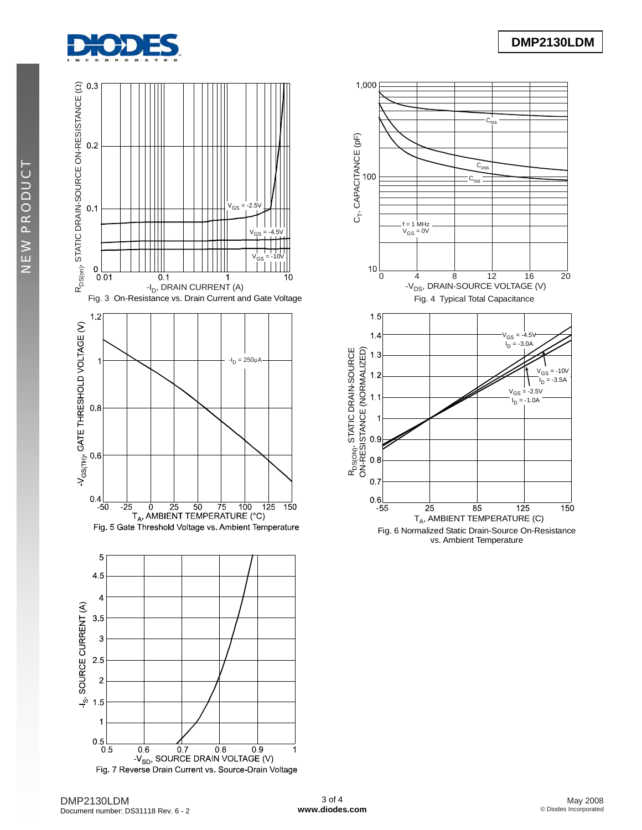



 $\overline{0.6}$  0.7 0.8 0.9<br>-V<sub>SD</sub>, SOURCE DRAIN VOLTAGE (V) Fig. 7 Reverse Drain Current vs. Source-Drain Voltage



NEW PRODUCT

**NEW PRODUCT** 

1